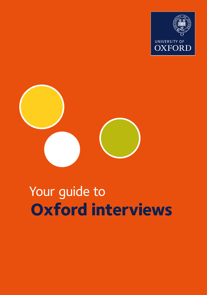



# Your guide to **Oxford interviews**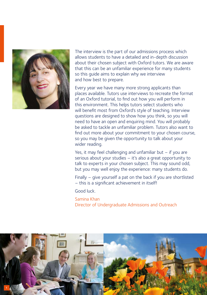

The interview is the part of our admissions process which allows students to have a detailed and in-depth discussion about their chosen subject with Oxford tutors. We are aware that this can be an unfamiliar experience for many students so this guide aims to explain why we interview and how best to prepare.

Every year we have many more strong applicants than places available. Tutors use interviews to recreate the format of an Oxford tutorial, to find out how you will perform in this environment. This helps tutors select students who will benefit most from Oxford's style of teaching. Interview questions are designed to show how you think, so you will need to have an open and enquiring mind. You will probably be asked to tackle an unfamiliar problem. Tutors also want to find out more about your commitment to your chosen course, so you may be given the opportunity to talk about your wider reading.

Yes, it may feel challenging and unfamiliar but – if you are serious about your studies – it's also a great opportunity to talk to experts in your chosen subject. This may sound odd, but you may well enjoy the experience: many students do.

Finally – give yourself a pat on the back if you are shortlisted – this is a significant achievement in itself!

Good luck.

Samina Khan Director of Undergraduate Admissions and Outreach

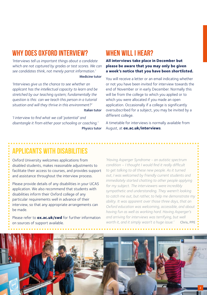# WHY DOES OXFORD INTERVIEW?

*'Interviews tell us important things about a candidate which are not captured by grades or test scores. We can see candidates think, not merely parrot information.'* Medicine tutor

*'Interviews give us the chance to see whether an applicant has the intellectual capacity to learn and be stretched by our teaching system; fundamentally the question is this: can we teach this person in a tutorial situation and will they thrive in this environment?'* Italian tutor

*'I interview to find what we call 'potential' and disentangle it from either poor schooling or coaching.'* Physics tutor

## WHEN WILL LHEAR?

**All interviews take place in December but please be aware that you may only be given a week's notice that you have been shortlisted.**

You will receive a letter or an email indicating whether or not you have been invited for interview towards the end of November or in early December. Normally this will be from the college to which you applied or to which you were allocated if you made an open application. Occasionally if a college is significantly oversubscribed for a subject, you may be invited by a different college.

A timetable for interviews is normally available from August, at **[ox.ac.uk/interviews](https://www.ox.ac.uk/admissions/undergraduate/applying-to-oxford/interviews?wssl=1)**.

# Applicants with disabilities

Oxford University welcomes applications from disabled students, makes reasonable adjustments to facilitate their access to courses, and provides support and assistance throughout the interview process.

Please provide details of any disabilities in your UCAS application. We also recommend that students with disabilities inform their Oxford college of any particular requirements well in advance of their interview, so that any appropriate arrangements can be made.

Please refer to **[ox.ac.uk/swd](https://www.ox.ac.uk/admissions/undergraduate/why-oxford/support-and-wellbeing/students-with-disabilities?wssl=1)** for further information on sources of support available.

*'Having Asperger Syndrome - an autistic spectrum condition – I thought I would find it really difficult to get talking to all these new people. As it turned out, I was welcomed by friendly current students and immediately started chatting to other people applying for my subject. The interviewers were incredibly sympathetic and understanding. They weren't looking to catch me out, but rather, to help me demonstrate my ability. It was apparent over those three days, that an Oxford education was welcoming, accessible, and about having fun as well as working hard. Having Asperger's and arriving for interviews was terrifying, but well worth it, and it simply wasn't a huge issue.'* Chris, PPE

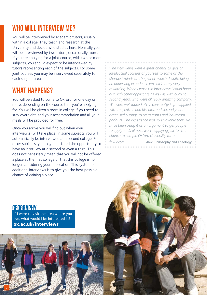# Who will interview me?

You will be interviewed by academic tutors, usually within a college. They teach and research at the University and decide who studies here. Normally you will be interviewed by two tutors, occasionally more. If you are applying for a joint course, with two or more subjects, you should expect to be interviewed by tutors representing each of the subjects. For some joint courses you may be interviewed separately for each subject area.

# WHAT HAPPENS?

You will be asked to come to Oxford for one day or more, depending on the course that you're applying for. You will be given a room in college if you need to stay overnight, and your accommodation and all your meals will be provided for free.

Once you arrive you will find out when your interview(s) will take place. In some subjects you will automatically be interviewed at a second college. For other subjects, you may be offered the opportunity to have an interview at a second or even a third. This does not necessarily mean that you will not be offered a place at the first college or that this college is no longer considering your application. This system of additional interviews is to give you the best possible chance of gaining a place.

*'The interviews were a great chance to give an intellectual account of yourself to some of the sharpest minds on the planet, which despite being an unnerving experience was ultimately very rewarding. When I wasn't in interviews I could hang out with other applicants as well as with current second years, who were all really amazing company. We were well looked after, constantly kept supplied with tea, coffee and biscuits, and second years organised outings to restaurants and ice-cream parlours. The experience was so enjoyable that I've since been using it as an argument to get people to apply – it's almost worth applying just for the chance to sample Oxford University for a few days.'* Alex, Philosophy and Theology

If I were to visit the area where you **GEOGRAPHY** 

3

live, what would I be interested in? **[ox.ac.uk/interviews](https://www.ox.ac.uk/admissions/undergraduate/applying-to-oxford/interviews?wssl=1)**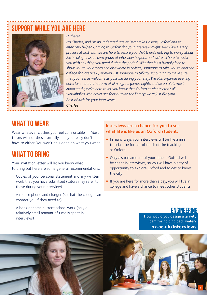# Support while you are here



----------------------

### Hi there!

I'm Charles, and I'm an undergraduate at Pembroke College, Oxford and an interview helper. Coming to Oxford for your interview might seem like a scary process at first, but we are here to assure you that there's nothing to worry about. Each college has its own group of interview helpers, and we're all here to assist you with anything you need during the period. Whether it's a friendly face to show you to your room and elsewhere in college, someone to take you to another college for interview, or even just someone to talk to, it's our job to make sure that you feel as welcome as possible during your stay. We also organise evening entertainment in the form of film nights, games nights and so on. But, most importantly, we're here to let you know that Oxford students aren't all workaholics who never set foot outside the library; we're just like you! Best of luck for your interviews. Charles

# WHAT TO WFAR

Wear whatever clothes you feel comfortable in. Most tutors will not dress formally, and you really don't have to either. You won't be judged on what you wear.

# WHAT TO BRING

Your invitation letter will let you know what to bring but here are some general recommendations:

- Copies of your personal statement and any written work that you have submitted (tutors may refer to these during your interview)
- A mobile phone and charger (so that the college can contact you if they need to)
- A book or some current school work (only a relatively small amount of time is spent in interviews)

### Interviews are a chance for you to see what life is like as an Oxford student:

- In many ways your interviews will be like a mini tutorial, the format of much of the teaching at Oxford
- Only a small amount of your time in Oxford will be spent in interviews, so you will have plenty of opportunity to explore Oxford and to get to know the city
- If you are here for more than a day, you will live in college and have a chance to meet other students

How would you design a gravity dam for holding back water? **[ox.ac.uk/interviews](https://www.ox.ac.uk/admissions/undergraduate/applying-to-oxford/interviews?wssl=1)**

**ENGINEERING** 

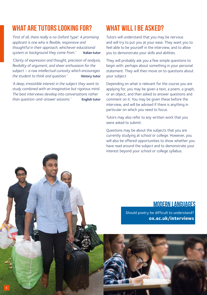# WHAT ARF TUTORS I OOKING FOR?

*'First of all, there really is no Oxford 'type'. A promising applicant is one who is flexible, responsive and thoughtful in their approach, whichever educational system or background they come from.'* Italian tutor

*'Clarity of expression and thought, precision of analysis, flexibility of argument, and sheer enthusiasm for the subject – a raw intellectual curiosity which encourages the student to think and question.'* History tutor

*'A deep, irresistible interest in the subject they want to study combined with an imaginative but rigorous mind. The best interviews develop into conversations rather than question-and-answer sessions.'* English tutor

# WHAT WILL I BE ASKED?

Tutors will understand that you may be nervous and will try to put you at your ease. They want you to feel able to be yourself in the interview, and to allow you to demonstrate your skills and abilities.

They will probably ask you a few simple questions to begin with: perhaps about something in your personal statement. They will then move on to questions about your subject.

Depending on what is relevant for the course you are applying for, you may be given a text, a poem, a graph, or an object, and then asked to answer questions and comment on it. You may be given these before the interview, and will be advised if there is anything in particular on which you need to focus.

Tutors may also refer to any written work that you were asked to submit.

Questions may be about the subjects that you are currently studying at school or college. However, you will also be offered opportunities to show whether you have read around the subject and to demonstrate your interest beyond your school or college syllabus.

### modern languages

Should poetry be difficult to understand? **[ox.ac.uk/interviews](https://www.ox.ac.uk/admissions/undergraduate/applying-to-oxford/interviews?wssl=1)**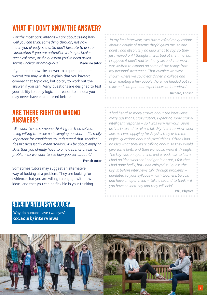# WHAT IF I DON'T KNOW THE ANSWER?

*'For the most part, interviews are about seeing how well you can think something through, not how much you already know. So don't hesitate to ask for clarification if you are unfamiliar with a particular technical term, or if a question you've been asked*  seems unclear or ambiguous.' Medicine tutor

If you don't know the answer to a question, don't worry! You may wish to explain that you haven't covered that topic yet, but do try to work out the answer if you can. Many questions are designed to test your ability to apply logic and reason to an idea you may never have encountered before.

### Are there right or wrong answers?

*'We want to see someone thinking for themselves, being willing to tackle a challenging question – It's really important for candidates to understand that 'tackling' doesn't necessarily mean 'solving': it'll be about applying skills that you already have to a new scenario, text, or problem, so we want to see how you set about it.'*

#### French tutor

Sometimes tutors may suggest an alternative way of looking at a problem. They are looking for evidence that you are willing to engage with new ideas, and that you can be flexible in your thinking.

### experimental psychology

Why do humans have two eyes? **[ox.ac.uk/interviews](https://www.ox.ac.uk/admissions/undergraduate/applying-to-oxford/interviews?wssl=1)**

### *'In my first interview, two tutors asked me questions about a couple of poems they'd given me. At one point I had absolutely no idea what to say, so they just moved on! I thought it was bad at the time, but I suppose it didn't matter. In my second interview I was invited to expand on some of the things from my personal statement. That evening we were shown where we could eat dinner in college and after meeting a few people there, we headed out to relax and compare our experiences of interviews'.*

Richard, English

*'I had heard so many stories about the interviews: crazy questions, crazy tutors, expecting some crazily intelligent response – so I was very nervous. Upon arrival I started to relax a bit. My first interview went fine; as I was applying for Physics they asked me logical questions about physical things. Often I had no idea what they were talking about, so they would give some hints and then we would work it through. The key was an open mind, and a readiness to learn. I had no idea whether I had got in or not; I felt that I had done badly, but I had enjoyed it. I guess the key is; before interviews talk through problems – unrelated to your syllabus – with teachers, be calm and have an open mind – take a second to think – if you have no idea, say and they will help'.*

Will, Physics

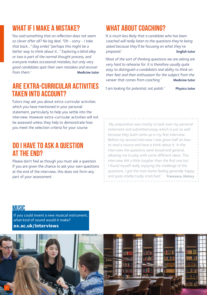# WHAT IF I MAKF A MISTAKF?

*'You said something that on reflection does not seem so clever after all? No big deal. "Oh - sorry - I take that back..." (big smile) "perhaps this might be a better way to think about it..." Exploring a blind alley or two is part of the normal thought process, and everyone makes occasional mistakes, but only very good candidates spot their own mistakes and recover*  **from them.'** Medicine tutor

# Are extra-curricular activities taken into account?

Tutors may ask you about extra-curricular activities which you have mentioned in your personal statement, particularly to help you settle into the interview. However extra-curricular activities will not be assessed unless they help to demonstrate how you meet the selection criteria for your course.

# Do I have to ask a question at the end?

Please don't feel as though you must ask a question. If you are given the chance to ask your own questions at the end of the interview, this does not form any part of your assessment.

# WHAT ABOUT COACHING?

*'It is much less likely that a candidate who has been coached will really listen to the questions they're being asked because they'll be focusing on what they've prepared.'* English tutor

*'Most of the sort of thinking questions we are asking are very hard to rehearse for. It is therefore usually quite easy to distinguish a candidate's real ability to think on their feet and their enthusiasm for the subject from the veneer that comes from coaching.'* Medicine tutor

*'I am looking for potential, not polish.'* Physics tutor

*'My preparation was mostly to look over my personal statement and submitted essay which is just as well because they both came up in my first interview. Before my second interview I was given half an hour to read a source and have a think about it. In the interview the questions were broad and general, allowing me to play with some different ideas. This interview felt a little tougher than the first one but I found myself really enjoying the challenge of the questions. I got the train home feeling generally happy*  and quite intellectually stretched.' Francesca, History . . . . . . . . . . . . .

### **MIISIC**

If you could invent a new musical instrument, what kind of sound would it make? **[ox.ac.uk/interviews](https://www.ox.ac.uk/admissions/undergraduate/applying-to-oxford/interviews?wssl=1)**

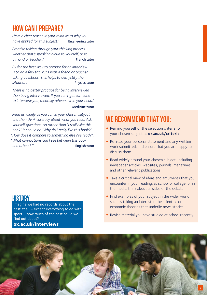# How can I prepare?

*'Have a clear reason in your mind as to why you have applied for this subject.'* Engineering tutor

*'Practise talking through your thinking process – whether that's speaking aloud to yourself, or to a friend or teacher.'* French tutor

*'By far the best way to prepare for an interview is to do a few trial runs with a friend or teacher asking questions. This helps to demystify the situation.'* Physics tutor

*'There is no better practice for being interviewed than being interviewed. If you can't get someone to interview you, mentally rehearse it in your head.'*

#### Medicine tutor

*'Read as widely as you can in your chosen subject and then think carefully about what you read. Ask yourself questions: so rather than "I really like this book" it should be "Why do I really like this book?", "How does it compare to something else I've read?", "What connections can I see between this book and others?"'* English tutor

### **HISTORY**

Imagine we had no records about the past at all – except everything to do with sport – how much of the past could we find out about?

### **[ox.ac.uk/interviews](https://www.ox.ac.uk/admissions/undergraduate/applying-to-oxford/interviews?wssl=1)**

# WE RECOMMEND THAT YOU:

- Remind yourself of the selection criteria for your chosen subject at **[ox.ac.uk/criteria](https://www.ox.ac.uk/admissions/undergraduate/courses/selection-criteria?wssl=1)**.
- Re-read your personal statement and any written work submitted, and ensure that you are happy to discuss them.
- Read widely around your chosen subject, including newspaper articles, websites, journals, magazines and other relevant publications.
- Take a critical view of ideas and arguments that you encounter in your reading, at school or college, or in the media: think about all sides of the debate.
- Find examples of your subject in the wider world, such as taking an interest in the scientific or economic theories that underlie news stories.
- Revise material you have studied at school recently.

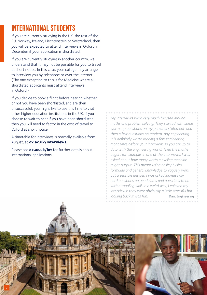# International students

If you are currently studying in the UK, the rest of the EU, Norway, Iceland, Liechtenstein or Switzerland, then you will be expected to attend interviews in Oxford in December if your application is shortlisted.

If you are currently studying in another country, we understand that it may not be possible for you to travel at short notice. In this case, your college may arrange to interview you by telephone or over the internet. (The one exception to this is for Medicine where all shortlisted applicants must attend interviews in Oxford.)

If you decide to book a flight before hearing whether or not you have been shortlisted, and are then unsuccessful, you might like to use this time to visit other higher education institutions in the UK. If you choose to wait to hear if you have been shortlisted, then you will need to factor in the cost of travel to Oxford at short notice.

A timetable for interviews is normally available from August, at **<ox.ac.uk/interviews>**.

Please see **[ox.ac.uk/int](https://www.ox.ac.uk/admissions/undergraduate/international-students?wssl=1)** for further details about international applications.

*My interviews were very much focused around maths and problem solving. They started with some warm-up questions on my personal statement, and then a few questions on modern-day engineering. It is definitely worth reading a few engineering magazines before your interview, so you are up to date with the engineering world. Then the maths began, for example, in one of the interviews, I was asked about how many watts a cycling machine might output. This meant using basic physics formulae and general knowledge to vaguely work out a sensible answer. I was asked increasingly hard questions on pendulums and questions to do with a toppling wall. In a weird way, I enjoyed my interviews: they were obviously a little stressful but looking back it was fun.* Dan, Engineering

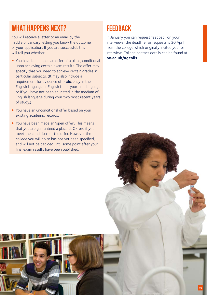# WHAT HAPPFNS NFXT?

You will receive a letter or an email by the middle of January letting you know the outcome of your application. If you are successful, this will tell you whether:

- You have been made an offer of a place, conditional upon achieving certain exam results. The offer may specify that you need to achieve certain grades in particular subjects. (It may also include a requirement for evidence of proficiency in the English language, if English is not your first language or if you have not been educated in the medium of English language during your two most recent years of study.)
- You have an unconditional offer based on your existing academic records.
- You have been made an 'open offer'. This means that you are guaranteed a place at Oxford if you meet the conditions of the offer. However the college you will go to has not yet been specified, and will not be decided until some point after your final exam results have been published.

# **FFFDBACK**

In January you can request feedback on your interviews (the deadline for requests is 30 April) from the college which originally invited you for interview. College contact details can be found at **[ox.ac.uk/ugcolls](https://www.ox.ac.uk/admissions/undergraduate/colleges/college-listing?wssl=1)**.